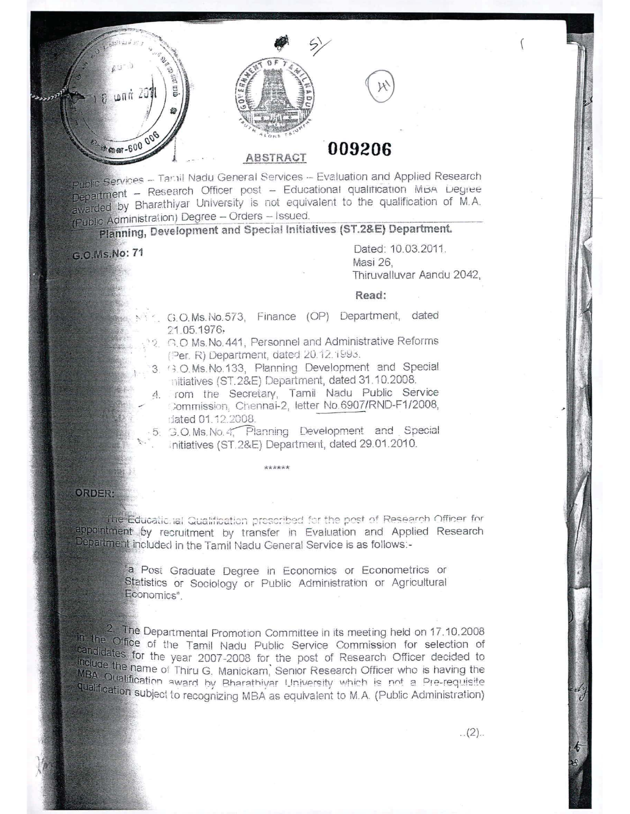

Public Services - Tamil Nadu General Services - Evaluation and Applied Research Department - Research Officer post - Educational qualitication MBA Degree awarded by Bharathiyar University is not equivalent to the qualification of M.A. (Public Administration) Degree - Orders - Issued.

## Planning, Development and Special Initiatives (ST.2&E) Department.

G.O.Ms.No: 71

Dated: 10.03.2011. Masi 26. Thiruvalluvar Aandu 2042,

## Read:

- G.O.Ms.No.573, Finance (OP) Department, dated 21.05.1976,
- C.O Ms. No. 441, Personnel and Administrative Reforms (Per. R) Department, dated 20.12.1993.
- 3. (3.O.Ms.No.133, Planning Development and Special nitiatives (ST.2&E) Department, dated 31.10.2008.
- 4. rom the Secretary, Tamil Nadu Public Service Commission, Chennai-2, letter No.6907/RND-F1/2008, dated 01.12.2008.

5. G.O.Ms.No.4, Planning Development and Special initiatives (ST.2&E) Department, dated 29.01.2010.

## **ORDER:**

The Educational Qualification prescribed for the post of Research Officer for appointment by recruitment by transfer in Evaluation and Applied Research Department included in the Tamil Nadu General Service is as follows:-

> a Post Graduate Degree in Economics or Econometrics or Statistics or Sociology or Public Administration or Agricultural Economics".

<sup>2</sup>. The Departmental Promotion Committee in its meeting held on 17.10.2008 in the Office of the Tamil Nadu Public Service Commission for selection of candidates for the year 2007-2008 for the post of Research Officer decided to the ude the name of Thiru G. Manickam, Senior Research Officer who is having the MBA Qualification award by Bharathiyar University which is not a Pre-requisite qualification subject to recognizing MBA as equivalent to M.A. (Public Administration)

 $(2).$